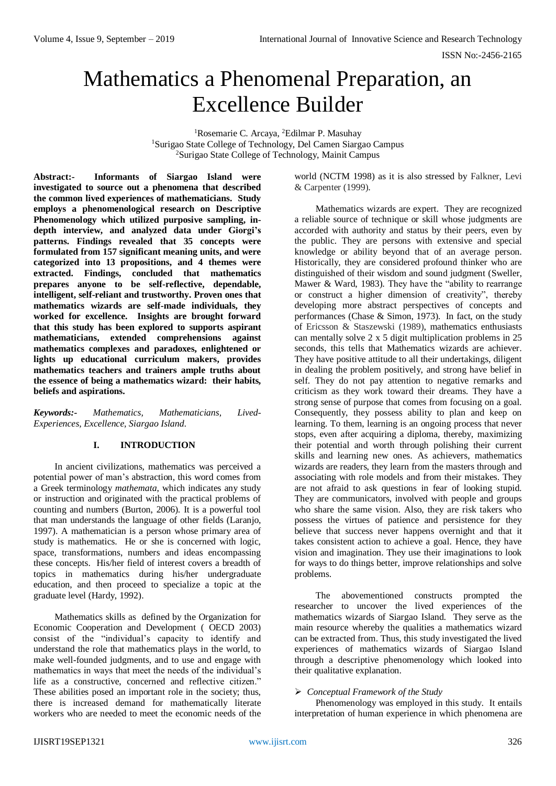# Mathematics a Phenomenal Preparation, an Excellence Builder

<sup>1</sup>Rosemarie C. Arcaya, <sup>2</sup>Edilmar P. Masuhay <sup>1</sup>Surigao State College of Technology, Del Camen Siargao Campus <sup>2</sup>Surigao State College of Technology, Mainit Campus

**Abstract:- Informants of Siargao Island were investigated to source out a phenomena that described the common lived experiences of mathematicians. Study employs a phenomenological research on Descriptive**  Phenomenology which utilized purposive sampling, in**depth interview, and analyzed data under Giorgi's patterns. Findings revealed that 35 concepts were formulated from 157 significant meaning units, and were categorized into 13 propositions, and 4 themes were extracted. Findings, concluded that mathematics prepares anyone to be self-reflective, dependable, intelligent, self-reliant and trustworthy. Proven ones that mathematics wizards are self-made individuals, they worked for excellence. Insights are brought forward that this study has been explored to supports aspirant mathematicians, extended comprehensions against mathematics complexes and paradoxes, enlightened or lights up educational curriculum makers, provides mathematics teachers and trainers ample truths about the essence of being a mathematics wizard: their habits, beliefs and aspirations.**

*Keywords:- Mathematics, Mathematicians, Lived-Experiences, Excellence, Siargao Island.*

## **I. INTRODUCTION**

In ancient civilizations, mathematics was perceived a potential power of man's abstraction, this word comes from a Greek terminology *mathemata*, which indicates any study or instruction and originated with the practical problems of counting and numbers (Burton, 2006). It is a powerful tool that man understands the language of other fields (Laranjo, 1997). A mathematician is a person whose primary area of study is mathematics. He or she is concerned with logic, space, transformations, numbers and ideas encompassing these concepts. His/her field of interest covers a breadth of topics in mathematics during his/her undergraduate education, and then proceed to specialize a topic at the graduate level (Hardy, 1992).

Mathematics skills as defined by the Organization for Economic Cooperation and Development ( OECD 2003) consist of the "individual's capacity to identify and understand the role that mathematics plays in the world, to make well-founded judgments, and to use and engage with mathematics in ways that meet the needs of the individual's life as a constructive, concerned and reflective citizen." These abilities posed an important role in the society; thus, there is increased demand for mathematically literate workers who are needed to meet the economic needs of the

world (NCTM 1998) as it is also stressed by Falkner, Levi & Carpenter (1999).

Mathematics wizards are expert. They are recognized a reliable source of technique or skill whose judgments are accorded with authority and status by their peers, even by the public. They are persons with extensive and special knowledge or ability beyond that of an average person. Historically, they are considered profound thinker who are distinguished of their wisdom and sound judgment (Sweller, Mawer & Ward, 1983). They have the "ability to rearrange or construct a higher dimension of creativity", thereby developing more abstract perspectives of concepts and performances (Chase & Simon, 1973). In fact, on the study of Ericsson & Staszewski (1989), mathematics enthusiasts can mentally solve 2 x 5 digit multiplication problems in 25 seconds, this tells that Mathematics wizards are achiever. They have positive attitude to all their undertakings, diligent in dealing the problem positively, and strong have belief in self. They do not pay attention to negative remarks and criticism as they work toward their dreams. They have a strong sense of purpose that comes from focusing on a goal. Consequently, they possess ability to plan and keep on learning. To them, learning is an ongoing process that never stops, even after acquiring a diploma, thereby, maximizing their potential and worth through polishing their current skills and learning new ones. As achievers, mathematics wizards are readers, they learn from the masters through and associating with role models and from their mistakes. They are not afraid to ask questions in fear of looking stupid. They are communicators, involved with people and groups who share the same vision. Also, they are risk takers who possess the virtues of patience and persistence for they believe that success never happens overnight and that it takes consistent action to achieve a goal. Hence, they have vision and imagination. They use their imaginations to look for ways to do things better, improve relationships and solve problems.

The abovementioned constructs prompted the researcher to uncover the lived experiences of the mathematics wizards of Siargao Island. They serve as the main resource whereby the qualities a mathematics wizard can be extracted from. Thus, this study investigated the lived experiences of mathematics wizards of Siargao Island through a descriptive phenomenology which looked into their qualitative explanation.

# *Conceptual Framework of the Study*

Phenomenology was employed in this study. It entails interpretation of human experience in which phenomena are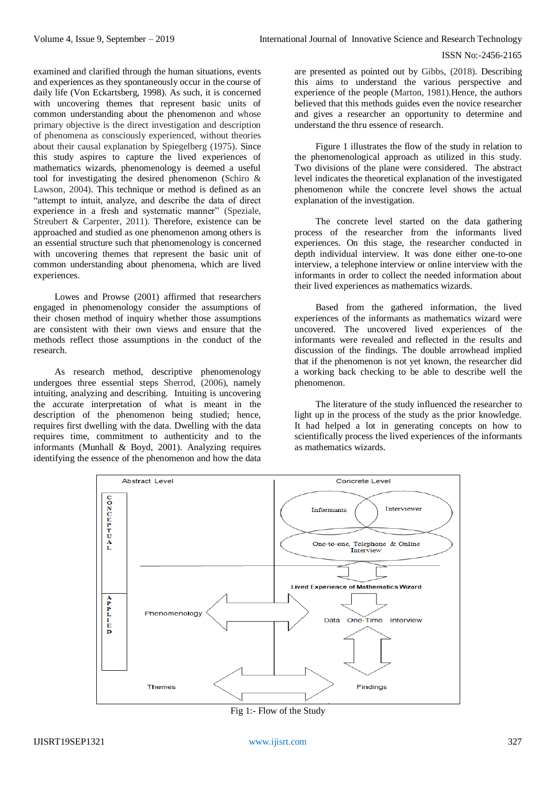examined and clarified through the human situations, events and experiences as they spontaneously occur in the course of daily life (Von Eckartsberg, 1998). As such, it is concerned with uncovering themes that represent basic units of common understanding about the phenomenon and whose primary objective is the direct investigation and description of phenomena as consciously experienced, without theories about their causal explanation by Spiegelberg (1975). Since this study aspires to capture the lived experiences of mathematics wizards, phenomenology is deemed a useful tool for investigating the desired phenomenon (Schiro & Lawson, 2004). This technique or method is defined as an "attempt to intuit, analyze, and describe the data of direct experience in a fresh and systematic manner" (Speziale, Streubert & Carpenter, 2011). Therefore, existence can be approached and studied as one phenomenon among others is an essential structure such that phenomenology is concerned with uncovering themes that represent the basic unit of common understanding about phenomena, which are lived experiences.

Lowes and Prowse (2001) affirmed that researchers engaged in phenomenology consider the assumptions of their chosen method of inquiry whether those assumptions are consistent with their own views and ensure that the methods reflect those assumptions in the conduct of the research.

As research method, descriptive phenomenology undergoes three essential steps Sherrod, (2006), namely intuiting, analyzing and describing. Intuiting is uncovering the accurate interpretation of what is meant in the description of the phenomenon being studied; hence, requires first dwelling with the data. Dwelling with the data requires time, commitment to authenticity and to the informants (Munhall & Boyd, 2001). Analyzing requires identifying the essence of the phenomenon and how the data

are presented as pointed out by Gibbs, (2018). Describing this aims to understand the various perspective and experience of the people (Marton, 1981).Hence, the authors believed that this methods guides even the novice researcher and gives a researcher an opportunity to determine and understand the thru essence of research.

Figure 1 illustrates the flow of the study in relation to the phenomenological approach as utilized in this study. Two divisions of the plane were considered. The abstract level indicates the theoretical explanation of the investigated phenomenon while the concrete level shows the actual explanation of the investigation.

The concrete level started on the data gathering process of the researcher from the informants lived experiences. On this stage, the researcher conducted in depth individual interview. It was done either one-to-one interview, a telephone interview or online interview with the informants in order to collect the needed information about their lived experiences as mathematics wizards.

Based from the gathered information, the lived experiences of the informants as mathematics wizard were uncovered. The uncovered lived experiences of the informants were revealed and reflected in the results and discussion of the findings. The double arrowhead implied that if the phenomenon is not yet known, the researcher did a working back checking to be able to describe well the phenomenon.

The literature of the study influenced the researcher to light up in the process of the study as the prior knowledge. It had helped a lot in generating concepts on how to scientifically process the lived experiences of the informants as mathematics wizards.



Fig 1:- Flow of the Study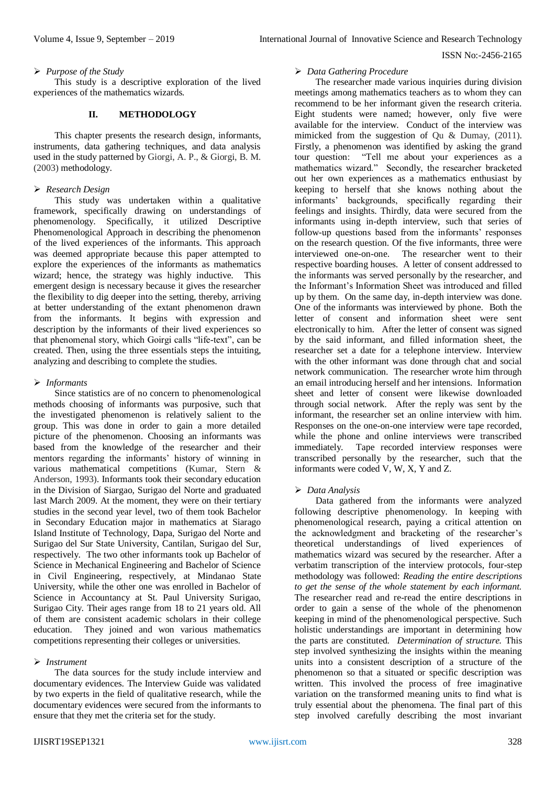#### *Purpose of the Study*

This study is a descriptive exploration of the lived experiences of the mathematics wizards.

#### **II. METHODOLOGY**

This chapter presents the research design, informants, instruments, data gathering techniques, and data analysis used in the study patterned by Giorgi, A. P., & Giorgi, B. M. (2003) methodology.

#### *Research Design*

This study was undertaken within a qualitative framework, specifically drawing on understandings of phenomenology. Specifically, it utilized Descriptive Phenomenological Approach in describing the phenomenon of the lived experiences of the informants. This approach was deemed appropriate because this paper attempted to explore the experiences of the informants as mathematics wizard; hence, the strategy was highly inductive. This emergent design is necessary because it gives the researcher the flexibility to dig deeper into the setting, thereby, arriving at better understanding of the extant phenomenon drawn from the informants. It begins with expression and description by the informants of their lived experiences so that phenomenal story, which Goirgi calls "life-text", can be created. Then, using the three essentials steps the intuiting, analyzing and describing to complete the studies.

## *Informants*

Since statistics are of no concern to phenomenological methods choosing of informants was purposive, such that the investigated phenomenon is relatively salient to the group. This was done in order to gain a more detailed picture of the phenomenon. Choosing an informants was based from the knowledge of the researcher and their mentors regarding the informants' history of winning in various mathematical competitions (Kumar, Stern & Anderson, 1993). Informants took their secondary education in the Division of Siargao, Surigao del Norte and graduated last March 2009. At the moment, they were on their tertiary studies in the second year level, two of them took Bachelor in Secondary Education major in mathematics at Siarago Island Institute of Technology, Dapa, Surigao del Norte and Surigao del Sur State University, Cantilan, Surigao del Sur, respectively. The two other informants took up Bachelor of Science in Mechanical Engineering and Bachelor of Science in Civil Engineering, respectively, at Mindanao State University, while the other one was enrolled in Bachelor of Science in Accountancy at St. Paul University Surigao, Surigao City. Their ages range from 18 to 21 years old. All of them are consistent academic scholars in their college education. They joined and won various mathematics competitions representing their colleges or universities.

## *Instrument*

The data sources for the study include interview and documentary evidences. The Interview Guide was validated by two experts in the field of qualitative research, while the documentary evidences were secured from the informants to ensure that they met the criteria set for the study.

#### *Data Gathering Procedure*

The researcher made various inquiries during division meetings among mathematics teachers as to whom they can recommend to be her informant given the research criteria. Eight students were named; however, only five were available for the interview. Conduct of the interview was mimicked from the suggestion of Qu & Dumay, (2011). Firstly, a phenomenon was identified by asking the grand tour question: "Tell me about your experiences as a mathematics wizard." Secondly, the researcher bracketed out her own experiences as a mathematics enthusiast by keeping to herself that she knows nothing about the informants' backgrounds, specifically regarding their feelings and insights. Thirdly, data were secured from the informants using in-depth interview, such that series of follow-up questions based from the informants' responses on the research question. Of the five informants, three were interviewed one-on-one. The researcher went to their respective boarding houses. A letter of consent addressed to the informants was served personally by the researcher, and the Informant's Information Sheet was introduced and filled up by them. On the same day, in-depth interview was done. One of the informants was interviewed by phone. Both the letter of consent and information sheet were sent electronically to him. After the letter of consent was signed by the said informant, and filled information sheet, the researcher set a date for a telephone interview. Interview with the other informant was done through chat and social network communication. The researcher wrote him through an email introducing herself and her intensions. Information sheet and letter of consent were likewise downloaded through social network. After the reply was sent by the informant, the researcher set an online interview with him. Responses on the one-on-one interview were tape recorded, while the phone and online interviews were transcribed immediately. Tape recorded interview responses were transcribed personally by the researcher, such that the informants were coded V, W, X, Y and Z.

## *Data Analysis*

Data gathered from the informants were analyzed following descriptive phenomenology. In keeping with phenomenological research, paying a critical attention on the acknowledgment and bracketing of the researcher's theoretical understandings of lived experiences of mathematics wizard was secured by the researcher. After a verbatim transcription of the interview protocols, four-step methodology was followed: *Reading the entire descriptions to get the sense of the whole statement by each informant.*  The researcher read and re-read the entire descriptions in order to gain a sense of the whole of the phenomenon keeping in mind of the phenomenological perspective. Such holistic understandings are important in determining how the parts are constituted. *Determination of structure.* This step involved synthesizing the insights within the meaning units into a consistent description of a structure of the phenomenon so that a situated or specific description was written. This involved the process of free imaginative variation on the transformed meaning units to find what is truly essential about the phenomena. The final part of this step involved carefully describing the most invariant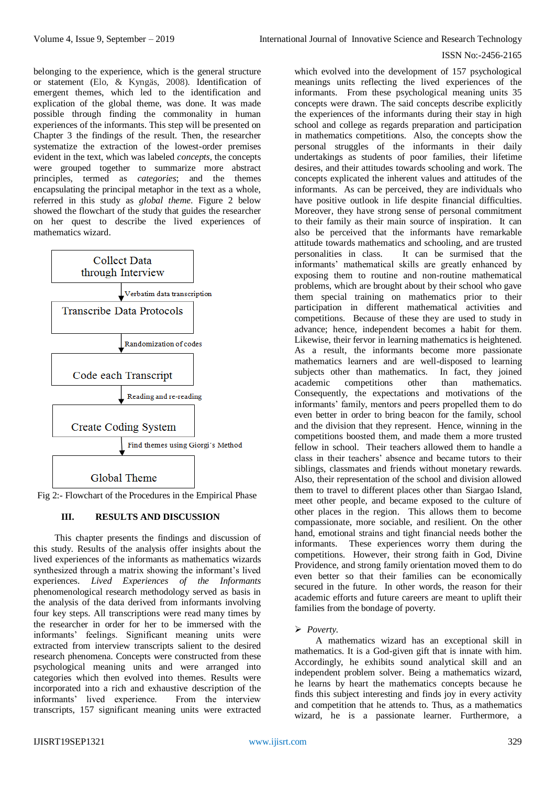belonging to the experience, which is the general structure or statement (Elo, & Kyngäs, 2008). Identification of emergent themes, which led to the identification and explication of the global theme, was done. It was made possible through finding the commonality in human experiences of the informants. This step will be presented on Chapter 3 the findings of the result. Then, the researcher systematize the extraction of the lowest-order premises evident in the text, which was labeled *concepts*, the concepts were grouped together to summarize more abstract principles, termed as *categories*; and the themes encapsulating the principal metaphor in the text as a whole, referred in this study as *global theme*. Figure 2 below showed the flowchart of the study that guides the researcher on her quest to describe the lived experiences of mathematics wizard.



Fig 2:- Flowchart of the Procedures in the Empirical Phase

## **III. RESULTS AND DISCUSSION**

This chapter presents the findings and discussion of this study. Results of the analysis offer insights about the lived experiences of the informants as mathematics wizards synthesized through a matrix showing the informant's lived experiences. *Lived Experiences of the Informants* phenomenological research methodology served as basis in the analysis of the data derived from informants involving four key steps. All transcriptions were read many times by the researcher in order for her to be immersed with the informants' feelings. Significant meaning units were extracted from interview transcripts salient to the desired research phenomena. Concepts were constructed from these psychological meaning units and were arranged into categories which then evolved into themes. Results were incorporated into a rich and exhaustive description of the informants' lived experience. From the interview transcripts, 157 significant meaning units were extracted

which evolved into the development of 157 psychological meanings units reflecting the lived experiences of the informants. From these psychological meaning units 35 concepts were drawn. The said concepts describe explicitly the experiences of the informants during their stay in high school and college as regards preparation and participation in mathematics competitions. Also, the concepts show the personal struggles of the informants in their daily undertakings as students of poor families, their lifetime desires, and their attitudes towards schooling and work. The concepts explicated the inherent values and attitudes of the informants. As can be perceived, they are individuals who have positive outlook in life despite financial difficulties. Moreover, they have strong sense of personal commitment to their family as their main source of inspiration. It can also be perceived that the informants have remarkable attitude towards mathematics and schooling, and are trusted personalities in class. It can be surmised that the informants' mathematical skills are greatly enhanced by exposing them to routine and non-routine mathematical problems, which are brought about by their school who gave them special training on mathematics prior to their participation in different mathematical activities and competitions. Because of these they are used to study in advance; hence, independent becomes a habit for them. Likewise, their fervor in learning mathematics is heightened. As a result, the informants become more passionate mathematics learners and are well-disposed to learning subjects other than mathematics. In fact, they joined academic competitions other than mathematics. Consequently, the expectations and motivations of the informants' family, mentors and peers propelled them to do even better in order to bring beacon for the family, school and the division that they represent. Hence, winning in the competitions boosted them, and made them a more trusted fellow in school. Their teachers allowed them to handle a class in their teachers' absence and became tutors to their siblings, classmates and friends without monetary rewards. Also, their representation of the school and division allowed them to travel to different places other than Siargao Island, meet other people, and became exposed to the culture of other places in the region. This allows them to become compassionate, more sociable, and resilient. On the other hand, emotional strains and tight financial needs bother the informants. These experiences worry them during the competitions. However, their strong faith in God, Divine Providence, and strong family orientation moved them to do even better so that their families can be economically secured in the future. In other words, the reason for their academic efforts and future careers are meant to uplift their families from the bondage of poverty.

## *Poverty.*

A mathematics wizard has an exceptional skill in mathematics. It is a God-given gift that is innate with him. Accordingly, he exhibits sound analytical skill and an independent problem solver. Being a mathematics wizard, he learns by heart the mathematics concepts because he finds this subject interesting and finds joy in every activity and competition that he attends to. Thus, as a mathematics wizard, he is a passionate learner. Furthermore, a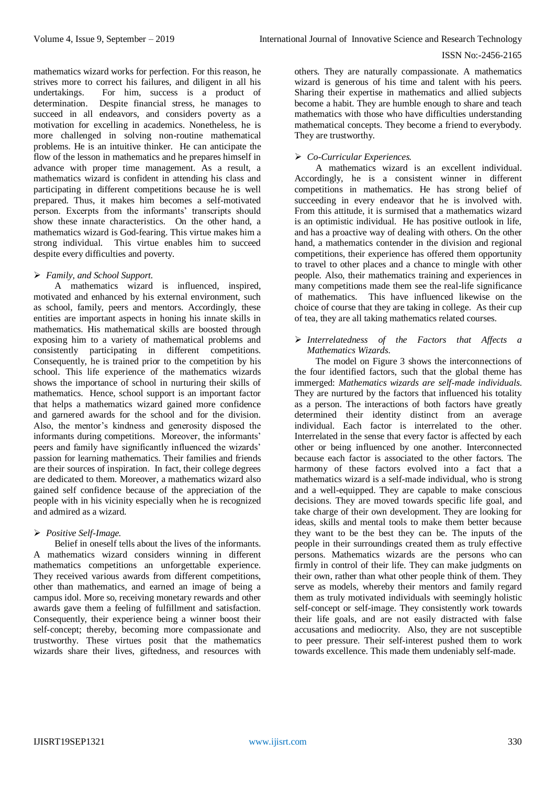mathematics wizard works for perfection. For this reason, he strives more to correct his failures, and diligent in all his undertakings. For him, success is a product of determination. Despite financial stress, he manages to succeed in all endeavors, and considers poverty as a motivation for excelling in academics. Nonetheless, he is more challenged in solving non-routine mathematical problems. He is an intuitive thinker. He can anticipate the flow of the lesson in mathematics and he prepares himself in advance with proper time management. As a result, a mathematics wizard is confident in attending his class and participating in different competitions because he is well prepared. Thus, it makes him becomes a self-motivated person. Excerpts from the informants' transcripts should show these innate characteristics. On the other hand, a mathematics wizard is God-fearing. This virtue makes him a strong individual. This virtue enables him to succeed despite every difficulties and poverty.

# *Family, and School Support.*

A mathematics wizard is influenced, inspired, motivated and enhanced by his external environment, such as school, family, peers and mentors. Accordingly, these entities are important aspects in honing his innate skills in mathematics. His mathematical skills are boosted through exposing him to a variety of mathematical problems and consistently participating in different competitions. Consequently, he is trained prior to the competition by his school. This life experience of the mathematics wizards shows the importance of school in nurturing their skills of mathematics. Hence, school support is an important factor that helps a mathematics wizard gained more confidence and garnered awards for the school and for the division. Also, the mentor's kindness and generosity disposed the informants during competitions. Moreover, the informants' peers and family have significantly influenced the wizards' passion for learning mathematics. Their families and friends are their sources of inspiration. In fact, their college degrees are dedicated to them. Moreover, a mathematics wizard also gained self confidence because of the appreciation of the people with in his vicinity especially when he is recognized and admired as a wizard.

# *Positive Self-Image.*

Belief in oneself tells about the lives of the informants. A mathematics wizard considers winning in different mathematics competitions an unforgettable experience. They received various awards from different competitions, other than mathematics, and earned an image of being a campus idol. More so, receiving monetary rewards and other awards gave them a feeling of fulfillment and satisfaction. Consequently, their experience being a winner boost their self-concept; thereby, becoming more compassionate and trustworthy. These virtues posit that the mathematics wizards share their lives, giftedness, and resources with

others. They are naturally compassionate. A mathematics wizard is generous of his time and talent with his peers. Sharing their expertise in mathematics and allied subjects become a habit. They are humble enough to share and teach mathematics with those who have difficulties understanding mathematical concepts. They become a friend to everybody. They are trustworthy.

# *Co-Curricular Experiences.*

A mathematics wizard is an excellent individual. Accordingly, he is a consistent winner in different competitions in mathematics. He has strong belief of succeeding in every endeavor that he is involved with. From this attitude, it is surmised that a mathematics wizard is an optimistic individual. He has positive outlook in life, and has a proactive way of dealing with others. On the other hand, a mathematics contender in the division and regional competitions, their experience has offered them opportunity to travel to other places and a chance to mingle with other people. Also, their mathematics training and experiences in many competitions made them see the real-life significance of mathematics. This have influenced likewise on the choice of course that they are taking in college. As their cup of tea, they are all taking mathematics related courses.

## *Interrelatedness of the Factors that Affects a Mathematics Wizards.*

The model on Figure 3 shows the interconnections of the four identified factors, such that the global theme has immerged: *Mathematics wizards are self-made individuals*. They are nurtured by the factors that influenced his totality as a person. The interactions of both factors have greatly determined their identity distinct from an average individual. Each factor is interrelated to the other. Interrelated in the sense that every factor is affected by each other or being influenced by one another. Interconnected because each factor is associated to the other factors. The harmony of these factors evolved into a fact that a mathematics wizard is a self-made individual, who is strong and a well-equipped. They are capable to make conscious decisions. They are moved towards specific life goal, and take charge of their own development. They are looking for ideas, skills and mental tools to make them better because they want to be the best they can be. The inputs of the people in their surroundings created them as truly effective persons. Mathematics wizards are the persons who can firmly in control of their life. They can make judgments on their own, rather than what other people think of them. They serve as models, whereby their mentors and family regard them as truly motivated individuals with seemingly holistic self-concept or self-image. They consistently work towards their life goals, and are not easily distracted with false accusations and mediocrity. Also, they are not susceptible to peer pressure. Their self-interest pushed them to work towards excellence. This made them undeniably self-made.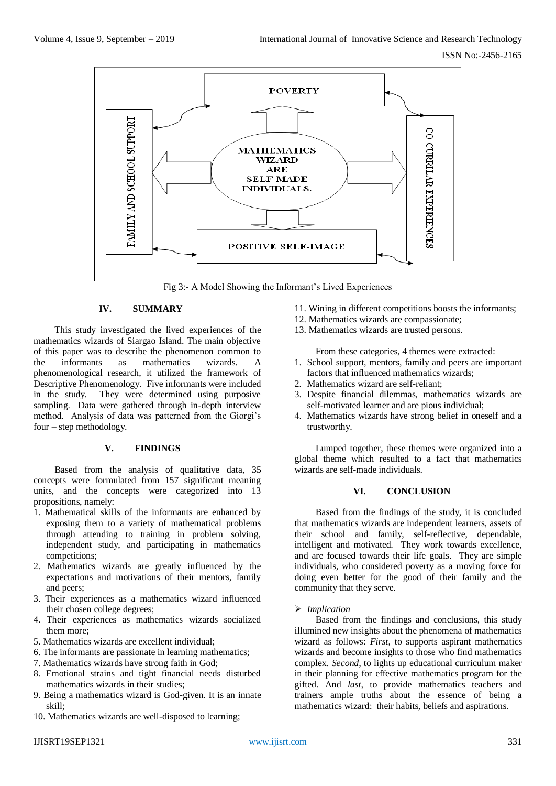

Fig 3:- A Model Showing the Informant's Lived Experiences

# **IV. SUMMARY**

This study investigated the lived experiences of the mathematics wizards of Siargao Island. The main objective of this paper was to describe the phenomenon common to the informants as mathematics wizards. A phenomenological research, it utilized the framework of Descriptive Phenomenology. Five informants were included in the study. They were determined using purposive sampling. Data were gathered through in-depth interview method. Analysis of data was patterned from the Giorgi's four – step methodology.

## **V. FINDINGS**

Based from the analysis of qualitative data, 35 concepts were formulated from 157 significant meaning units, and the concepts were categorized into 13 propositions, namely:

- 1. Mathematical skills of the informants are enhanced by exposing them to a variety of mathematical problems through attending to training in problem solving, independent study, and participating in mathematics competitions;
- 2. Mathematics wizards are greatly influenced by the expectations and motivations of their mentors, family and peers;
- 3. Their experiences as a mathematics wizard influenced their chosen college degrees;
- 4. Their experiences as mathematics wizards socialized them more;
- 5. Mathematics wizards are excellent individual;
- 6. The informants are passionate in learning mathematics;
- 7. Mathematics wizards have strong faith in God;
- 8. Emotional strains and tight financial needs disturbed mathematics wizards in their studies;
- 9. Being a mathematics wizard is God-given. It is an innate skill;
- 10. Mathematics wizards are well-disposed to learning;
- 11. Wining in different competitions boosts the informants;
- 12. Mathematics wizards are compassionate;
- 13. Mathematics wizards are trusted persons.

From these categories, 4 themes were extracted:

- 1. School support, mentors, family and peers are important factors that influenced mathematics wizards;
- 2. Mathematics wizard are self-reliant;
- 3. Despite financial dilemmas, mathematics wizards are self-motivated learner and are pious individual;
- 4. Mathematics wizards have strong belief in oneself and a trustworthy.

Lumped together, these themes were organized into a global theme which resulted to a fact that mathematics wizards are self-made individuals.

# **VI. CONCLUSION**

Based from the findings of the study, it is concluded that mathematics wizards are independent learners, assets of their school and family, self-reflective, dependable, intelligent and motivated. They work towards excellence, and are focused towards their life goals. They are simple individuals, who considered poverty as a moving force for doing even better for the good of their family and the community that they serve.

## *Implication*

Based from the findings and conclusions, this study illumined new insights about the phenomena of mathematics wizard as follows: *First,* to supports aspirant mathematics wizards and become insights to those who find mathematics complex. *Second,* to lights up educational curriculum maker in their planning for effective mathematics program for the gifted. And *last,* to provide mathematics teachers and trainers ample truths about the essence of being a mathematics wizard: their habits, beliefs and aspirations.